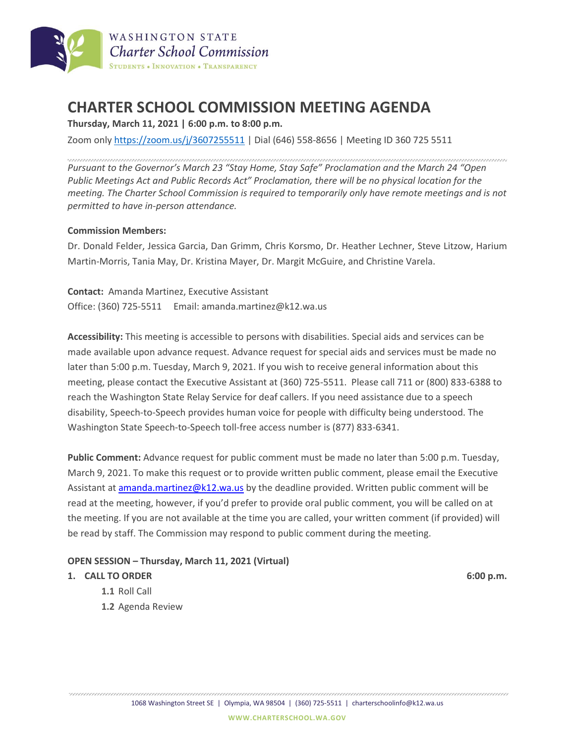

# **CHARTER SCHOOL COMMISSION MEETING AGENDA**

**Thursday, March 11, 2021 | 6:00 p.m. to 8:00 p.m.**

Zoom only <https://zoom.us/j/3607255511> | Dial (646) 558-8656 | Meeting ID 360 725 5511

*Pursuant to the Governor's March 23 "Stay Home, Stay Safe" Proclamation and the March 24 "Open Public Meetings Act and Public Records Act" Proclamation, there will be no physical location for the meeting. The Charter School Commission is required to temporarily only have remote meetings and is not permitted to have in-person attendance.*

### **Commission Members:**

Dr. Donald Felder, Jessica Garcia, Dan Grimm, Chris Korsmo, Dr. Heather Lechner, Steve Litzow, Harium Martin-Morris, Tania May, Dr. Kristina Mayer, Dr. Margit McGuire, and Christine Varela.

**Contact:** Amanda Martinez, Executive Assistant Office: (360) 725-5511 Email: amanda.martinez@k12.wa.us

**Accessibility:** This meeting is accessible to persons with disabilities. Special aids and services can be made available upon advance request. Advance request for special aids and services must be made no later than 5:00 p.m. Tuesday, March 9, 2021. If you wish to receive general information about this meeting, please contact the Executive Assistant at (360) 725-5511. Please call 711 or (800) 833-6388 to reach the Washington State Relay Service for deaf callers. If you need assistance due to a speech disability, Speech-to-Speech provides human voice for people with difficulty being understood. The Washington State Speech-to-Speech toll-free access number is (877) 833-6341.

**Public Comment:** Advance request for public comment must be made no later than 5:00 p.m. Tuesday, March 9, 2021. To make this request or to provide written public comment, please email the Executive Assistant at **amanda.martinez@k12.wa.us** by the deadline provided. Written public comment will be read at the meeting, however, if you'd prefer to provide oral public comment, you will be called on at the meeting. If you are not available at the time you are called, your written comment (if provided) will be read by staff. The Commission may respond to public comment during the meeting.

### **OPEN SESSION – Thursday, March 11, 2021 (Virtual)**

### **1. CALL TO ORDER 6:00 p.m.**

- **1.1** Roll Call
- **1.2** Agenda Review